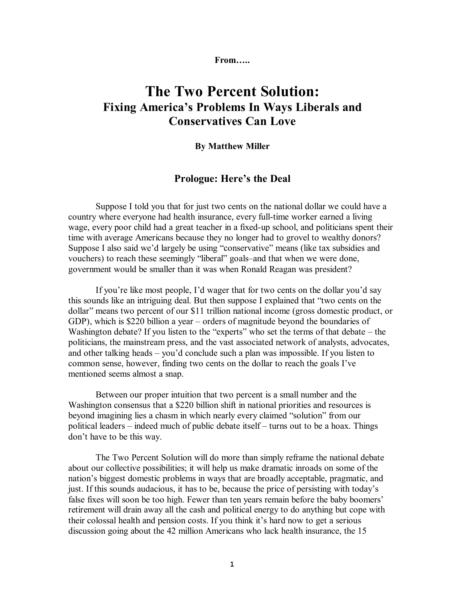**From…..**

## **The Two Percent Solution: Fixing America's Problems In Ways Liberals and Conservatives Can Love**

## **By Matthew Miller**

## **Prologue: Here's the Deal**

Suppose I told you that for just two cents on the national dollar we could have a country where everyone had health insurance, every full-time worker earned a living wage, every poor child had a great teacher in a fixed-up school, and politicians spent their time with average Americans because they no longer had to grovel to wealthy donors? Suppose I also said we'd largely be using "conservative" means (like tax subsidies and vouchers) to reach these seemingly "liberal" goals–and that when we were done, government would be smaller than it was when Ronald Reagan was president?

If you're like most people, I'd wager that for two cents on the dollar you'd say this sounds like an intriguing deal. But then suppose I explained that "two cents on the dollar" means two percent of our \$11 trillion national income (gross domestic product, or GDP), which is \$220 billion a year – orders of magnitude beyond the boundaries of Washington debate? If you listen to the "experts" who set the terms of that debate – the politicians, the mainstream press, and the vast associated network of analysts, advocates, and other talking heads – you'd conclude such a plan was impossible. If you listen to common sense, however, finding two cents on the dollar to reach the goals I've mentioned seems almost a snap.

Between our proper intuition that two percent is a small number and the Washington consensus that a \$220 billion shift in national priorities and resources is beyond imagining lies a chasm in which nearly every claimed "solution" from our political leaders – indeed much of public debate itself – turns out to be a hoax. Things don't have to be this way.

The Two Percent Solution will do more than simply reframe the national debate about our collective possibilities; it will help us make dramatic inroads on some of the nation's biggest domestic problems in ways that are broadly acceptable, pragmatic, and just. If this sounds audacious, it has to be, because the price of persisting with today's false fixes will soon be too high. Fewer than ten years remain before the baby boomers' retirement will drain away all the cash and political energy to do anything but cope with their colossal health and pension costs. If you think it's hard now to get a serious discussion going about the 42 million Americans who lack health insurance, the 15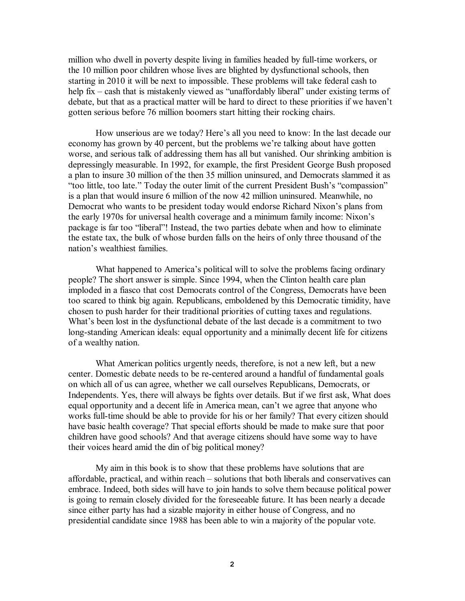million who dwell in poverty despite living in families headed by full-time workers, or the 10 million poor children whose lives are blighted by dysfunctional schools, then starting in 2010 it will be next to impossible. These problems will take federal cash to help fix – cash that is mistakenly viewed as "unaffordably liberal" under existing terms of debate, but that as a practical matter will be hard to direct to these priorities if we haven't gotten serious before 76 million boomers start hitting their rocking chairs.

How unserious are we today? Here's all you need to know: In the last decade our economy has grown by 40 percent, but the problems we're talking about have gotten worse, and serious talk of addressing them has all but vanished. Our shrinking ambition is depressingly measurable. In 1992, for example, the first President George Bush proposed a plan to insure 30 million of the then 35 million uninsured, and Democrats slammed it as "too little, too late." Today the outer limit of the current President Bush's "compassion" is a plan that would insure 6 million of the now 42 million uninsured. Meanwhile, no Democrat who wants to be president today would endorse Richard Nixon's plans from the early 1970s for universal health coverage and a minimum family income: Nixon's package is far too "liberal"! Instead, the two parties debate when and how to eliminate the estate tax, the bulk of whose burden falls on the heirs of only three thousand of the nation's wealthiest families.

What happened to America's political will to solve the problems facing ordinary people? The short answer is simple. Since 1994, when the Clinton health care plan imploded in a fiasco that cost Democrats control of the Congress, Democrats have been too scared to think big again. Republicans, emboldened by this Democratic timidity, have chosen to push harder for their traditional priorities of cutting taxes and regulations. What's been lost in the dysfunctional debate of the last decade is a commitment to two long-standing American ideals: equal opportunity and a minimally decent life for citizens of a wealthy nation.

What American politics urgently needs, therefore, is not a new left, but a new center. Domestic debate needs to be re-centered around a handful of fundamental goals on which all of us can agree, whether we call ourselves Republicans, Democrats, or Independents. Yes, there will always be fights over details. But if we first ask, What does equal opportunity and a decent life in America mean, can't we agree that anyone who works full-time should be able to provide for his or her family? That every citizen should have basic health coverage? That special efforts should be made to make sure that poor children have good schools? And that average citizens should have some way to have their voices heard amid the din of big political money?

My aim in this book is to show that these problems have solutions that are affordable, practical, and within reach – solutions that both liberals and conservatives can embrace. Indeed, both sides will have to join hands to solve them because political power is going to remain closely divided for the foreseeable future. It has been nearly a decade since either party has had a sizable majority in either house of Congress, and no presidential candidate since 1988 has been able to win a majority of the popular vote.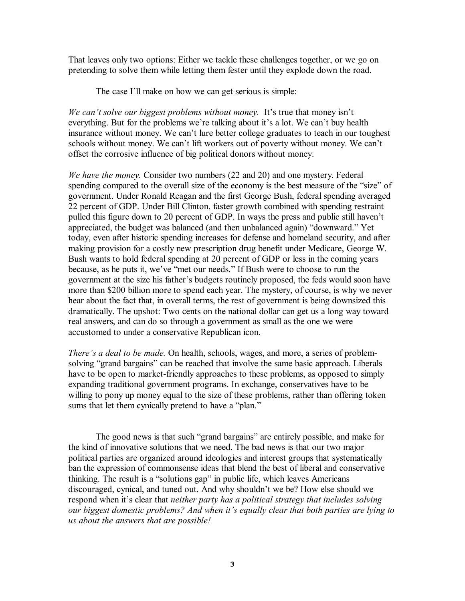That leaves only two options: Either we tackle these challenges together, or we go on pretending to solve them while letting them fester until they explode down the road.

The case I'll make on how we can get serious is simple:

*We can't solve our biggest problems without money.* It's true that money isn't everything. But for the problems we're talking about it's a lot. We can't buy health insurance without money. We can't lure better college graduates to teach in our toughest schools without money. We can't lift workers out of poverty without money. We can't offset the corrosive influence of big political donors without money.

*We have the money.* Consider two numbers (22 and 20) and one mystery. Federal spending compared to the overall size of the economy is the best measure of the "size" of government. Under Ronald Reagan and the first George Bush, federal spending averaged 22 percent of GDP. Under Bill Clinton, faster growth combined with spending restraint pulled this figure down to 20 percent of GDP. In ways the press and public still haven't appreciated, the budget was balanced (and then unbalanced again) "downward." Yet today, even after historic spending increases for defense and homeland security, and after making provision for a costly new prescription drug benefit under Medicare, George W. Bush wants to hold federal spending at 20 percent of GDP or less in the coming years because, as he puts it, we've "met our needs." If Bush were to choose to run the government at the size his father's budgets routinely proposed, the feds would soon have more than \$200 billion more to spend each year. The mystery, of course, is why we never hear about the fact that, in overall terms, the rest of government is being downsized this dramatically. The upshot: Two cents on the national dollar can get us a long way toward real answers, and can do so through a government as small as the one we were accustomed to under a conservative Republican icon.

*There's a deal to be made.* On health, schools, wages, and more, a series of problemsolving "grand bargains" can be reached that involve the same basic approach. Liberals have to be open to market-friendly approaches to these problems, as opposed to simply expanding traditional government programs. In exchange, conservatives have to be willing to pony up money equal to the size of these problems, rather than offering token sums that let them cynically pretend to have a "plan."

The good news is that such "grand bargains" are entirely possible, and make for the kind of innovative solutions that we need. The bad news is that our two major political parties are organized around ideologies and interest groups that systematically ban the expression of commonsense ideas that blend the best of liberal and conservative thinking. The result is a "solutions gap" in public life, which leaves Americans discouraged, cynical, and tuned out. And why shouldn't we be? How else should we respond when it's clear that *neither party has a political strategy that includes solving our biggest domestic problems? And when it's equally clear that both parties are lying to us about the answers that are possible!*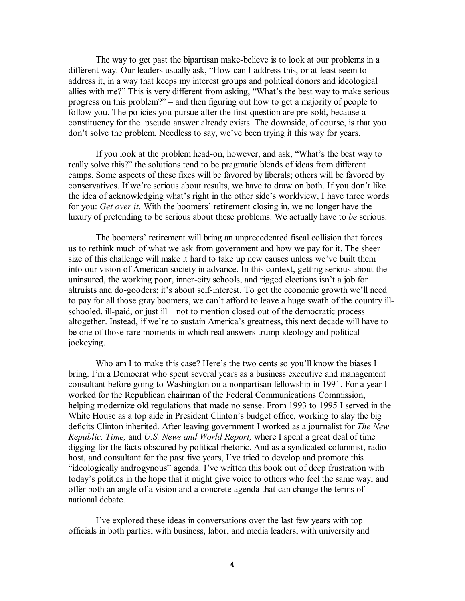The way to get past the bipartisan make-believe is to look at our problems in a different way. Our leaders usually ask, "How can I address this, or at least seem to address it, in a way that keeps my interest groups and political donors and ideological allies with me?" This is very different from asking, "What's the best way to make serious progress on this problem?" – and then figuring out how to get a majority of people to follow you. The policies you pursue after the first question are pre-sold, because a constituency for the pseudo answer already exists. The downside, of course, is that you don't solve the problem. Needless to say, we've been trying it this way for years.

If you look at the problem head-on, however, and ask, "What's the best way to really solve this?" the solutions tend to be pragmatic blends of ideas from different camps. Some aspects of these fixes will be favored by liberals; others will be favored by conservatives. If we're serious about results, we have to draw on both. If you don't like the idea of acknowledging what's right in the other side's worldview, I have three words for you: *Get over it.* With the boomers' retirement closing in, we no longer have the luxury of pretending to be serious about these problems. We actually have to *be* serious.

The boomers' retirement will bring an unprecedented fiscal collision that forces us to rethink much of what we ask from government and how we pay for it. The sheer size of this challenge will make it hard to take up new causes unless we've built them into our vision of American society in advance. In this context, getting serious about the uninsured, the working poor, inner-city schools, and rigged elections isn't a job for altruists and do-gooders; it's about self-interest. To get the economic growth we'll need to pay for all those gray boomers, we can't afford to leave a huge swath of the country illschooled, ill-paid, or just ill – not to mention closed out of the democratic process altogether. Instead, if we're to sustain America's greatness, this next decade will have to be one of those rare moments in which real answers trump ideology and political jockeying.

Who am I to make this case? Here's the two cents so you'll know the biases I bring. I'm a Democrat who spent several years as a business executive and management consultant before going to Washington on a nonpartisan fellowship in 1991. For a year I worked for the Republican chairman of the Federal Communications Commission, helping modernize old regulations that made no sense. From 1993 to 1995 I served in the White House as a top aide in President Clinton's budget office, working to slay the big deficits Clinton inherited. After leaving government I worked as a journalist for *The New Republic, Time,* and *U.S. News and World Report,* where I spent a great deal of time digging for the facts obscured by political rhetoric. And as a syndicated columnist, radio host, and consultant for the past five years, I've tried to develop and promote this "ideologically androgynous" agenda. I've written this book out of deep frustration with today's politics in the hope that it might give voice to others who feel the same way, and offer both an angle of a vision and a concrete agenda that can change the terms of national debate.

I've explored these ideas in conversations over the last few years with top officials in both parties; with business, labor, and media leaders; with university and